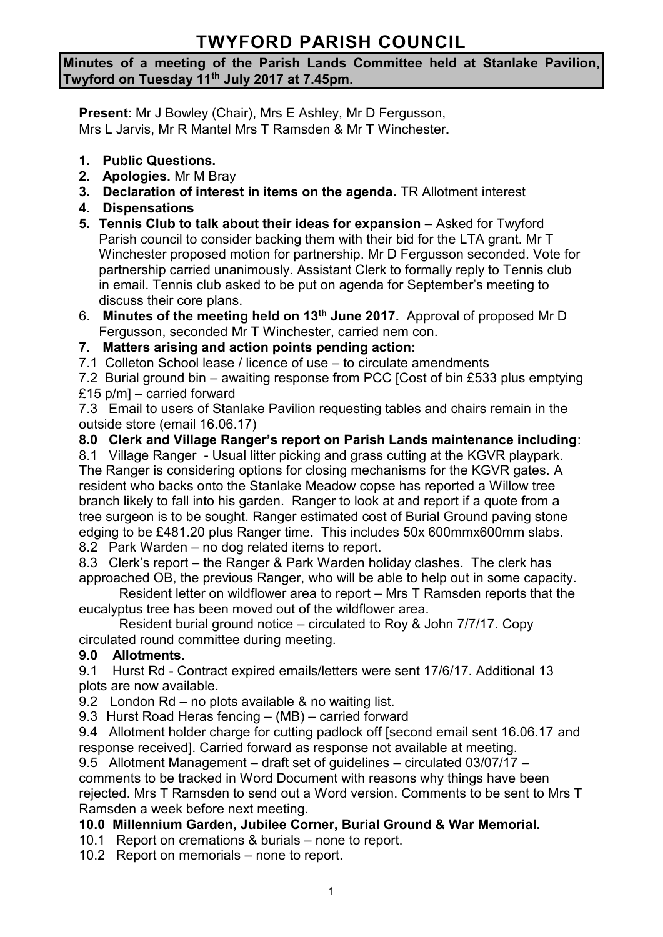# **TWYFORD PARISH COUNCIL**

#### **Minutes of a meeting of the Parish Lands Committee held at Stanlake Pavilion, Twyford on Tuesday 11th July 2017 at 7.45pm.**

**Present**: Mr J Bowley (Chair), Mrs E Ashley, Mr D Fergusson, Mrs L Jarvis, Mr R Mantel Mrs T Ramsden & Mr T Winchester**.**

- **1. Public Questions.**
- **2. Apologies.** Mr M Bray
- **3. Declaration of interest in items on the agenda.** TR Allotment interest
- **4. Dispensations**
- **5. Tennis Club to talk about their ideas for expansion** Asked for Twyford Parish council to consider backing them with their bid for the LTA grant. Mr T Winchester proposed motion for partnership. Mr D Fergusson seconded. Vote for partnership carried unanimously. Assistant Clerk to formally reply to Tennis club in email. Tennis club asked to be put on agenda for September's meeting to discuss their core plans.
- 6. **Minutes of the meeting held on 13th June 2017.** Approval of proposed Mr D Fergusson, seconded Mr T Winchester, carried nem con.

# **7. Matters arising and action points pending action:**

7.1 Colleton School lease / licence of use – to circulate amendments

7.2 Burial ground bin – awaiting response from PCC [Cost of bin £533 plus emptying £15 p/m] – carried forward

7.3 Email to users of Stanlake Pavilion requesting tables and chairs remain in the outside store (email 16.06.17)

#### **8.0 Clerk and Village Ranger's report on Parish Lands maintenance including**:

8.1 Village Ranger - Usual litter picking and grass cutting at the KGVR playpark. The Ranger is considering options for closing mechanisms for the KGVR gates. A resident who backs onto the Stanlake Meadow copse has reported a Willow tree branch likely to fall into his garden. Ranger to look at and report if a quote from a tree surgeon is to be sought. Ranger estimated cost of Burial Ground paving stone edging to be £481.20 plus Ranger time. This includes 50x 600mmx600mm slabs.

8.2 Park Warden – no dog related items to report.

8.3 Clerk's report – the Ranger & Park Warden holiday clashes. The clerk has approached OB, the previous Ranger, who will be able to help out in some capacity.

Resident letter on wildflower area to report – Mrs T Ramsden reports that the eucalyptus tree has been moved out of the wildflower area.

Resident burial ground notice – circulated to Roy & John 7/7/17. Copy circulated round committee during meeting.

## **9.0 Allotments.**

9.1 Hurst Rd - Contract expired emails/letters were sent 17/6/17. Additional 13 plots are now available.

9.2 London Rd – no plots available & no waiting list.

9.3 Hurst Road Heras fencing – (MB) – carried forward

9.4 Allotment holder charge for cutting padlock off [second email sent 16.06.17 and response received]. Carried forward as response not available at meeting.

9.5 Allotment Management – draft set of guidelines – circulated 03/07/17 – comments to be tracked in Word Document with reasons why things have been rejected. Mrs T Ramsden to send out a Word version. Comments to be sent to Mrs T Ramsden a week before next meeting.

## **10.0 Millennium Garden, Jubilee Corner, Burial Ground & War Memorial.**

10.1 Report on cremations & burials – none to report.

10.2 Report on memorials – none to report.